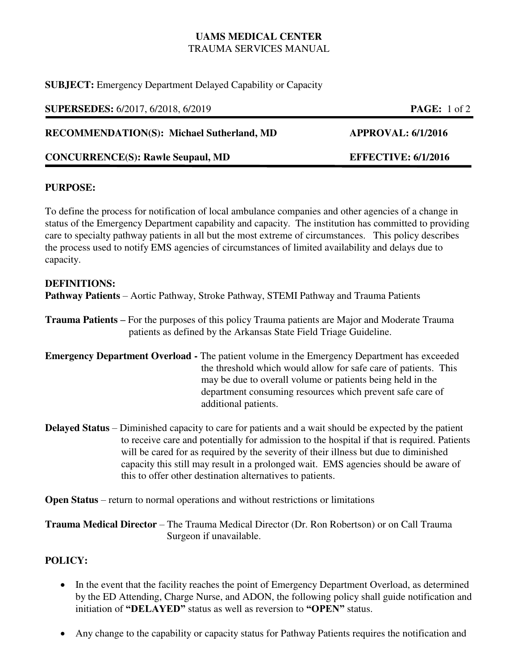# **UAMS MEDICAL CENTER**  TRAUMA SERVICES MANUAL

**SUBJECT:** Emergency Department Delayed Capability or Capacity

**SUPERSEDES:** 6/2017, 6/2018, 6/2019 **PAGE:** 1 of 2

**RECOMMENDATION(S): Michael Sutherland, MD APPROVAL: 6/1/2016** 

**CONCURRENCE(S): Rawle Seupaul, MD EFFECTIVE: 6/1/2016** 

### **PURPOSE:**

To define the process for notification of local ambulance companies and other agencies of a change in status of the Emergency Department capability and capacity. The institution has committed to providing care to specialty pathway patients in all but the most extreme of circumstances. This policy describes the process used to notify EMS agencies of circumstances of limited availability and delays due to capacity.

#### **DEFINITIONS:**

**Pathway Patients** – Aortic Pathway, Stroke Pathway, STEMI Pathway and Trauma Patients

**Trauma Patients –** For the purposes of this policy Trauma patients are Major and Moderate Trauma patients as defined by the Arkansas State Field Triage Guideline.

**Emergency Department Overload -** The patient volume in the Emergency Department has exceeded the threshold which would allow for safe care of patients. This may be due to overall volume or patients being held in the department consuming resources which prevent safe care of additional patients.

**Delayed Status** – Diminished capacity to care for patients and a wait should be expected by the patient to receive care and potentially for admission to the hospital if that is required. Patients will be cared for as required by the severity of their illness but due to diminished capacity this still may result in a prolonged wait. EMS agencies should be aware of this to offer other destination alternatives to patients.

**Open Status** – return to normal operations and without restrictions or limitations

**Trauma Medical Director** – The Trauma Medical Director (Dr. Ron Robertson) or on Call Trauma Surgeon if unavailable.

## **POLICY:**

- In the event that the facility reaches the point of Emergency Department Overload, as determined by the ED Attending, Charge Nurse, and ADON, the following policy shall guide notification and initiation of **"DELAYED"** status as well as reversion to **"OPEN"** status.
- Any change to the capability or capacity status for Pathway Patients requires the notification and